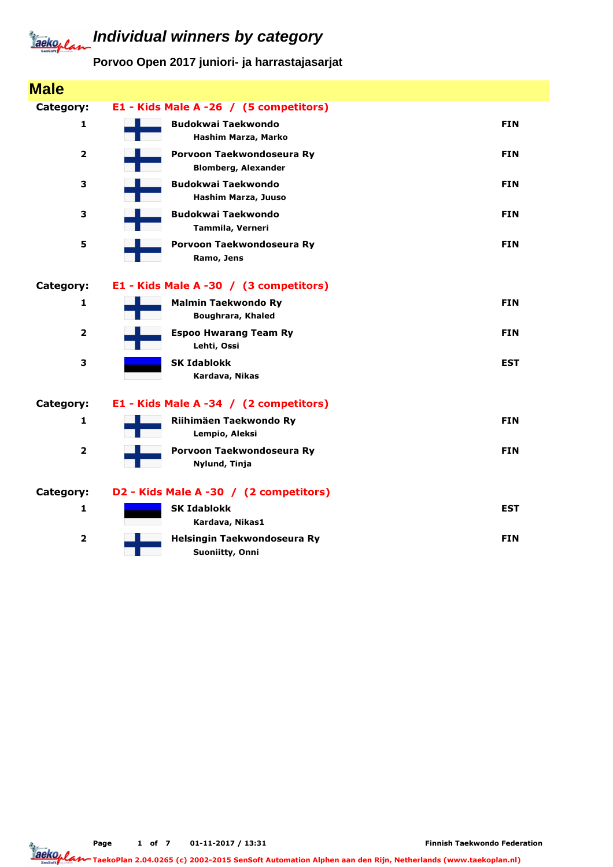## **Individual winners by category** Tackoplan

**Porvoo Open 2017 juniori- ja harrastajasarjat**

| <b>Male</b>             |                                               |            |
|-------------------------|-----------------------------------------------|------------|
| Category:               | E1 - Kids Male A -26 / (5 competitors)        |            |
| 1                       | <b>Budokwai Taekwondo</b>                     | <b>FIN</b> |
|                         | Hashim Marza, Marko                           |            |
| $\mathbf{2}$            | Porvoon Taekwondoseura Ry                     | <b>FIN</b> |
|                         | <b>Blomberg, Alexander</b>                    |            |
| 3                       | <b>Budokwai Taekwondo</b>                     | <b>FIN</b> |
|                         | Hashim Marza, Juuso                           |            |
| 3                       | <b>Budokwai Taekwondo</b><br>Tammila, Verneri | <b>FIN</b> |
|                         |                                               |            |
| 5                       | Porvoon Taekwondoseura Ry<br>Ramo, Jens       | <b>FIN</b> |
|                         |                                               |            |
| Category:               | E1 - Kids Male A -30 / (3 competitors)        |            |
| 1                       | <b>Malmin Taekwondo Ry</b>                    | <b>FIN</b> |
|                         | <b>Boughrara, Khaled</b>                      |            |
| $\overline{2}$          | <b>Espoo Hwarang Team Ry</b>                  | <b>FIN</b> |
|                         | Lehti, Ossi                                   |            |
| 3                       | <b>SK Idablokk</b>                            | <b>EST</b> |
|                         | Kardava, Nikas                                |            |
| Category:               | E1 - Kids Male A -34 / (2 competitors)        |            |
| 1                       | Riihimäen Taekwondo Ry                        | <b>FIN</b> |
|                         | Lempio, Aleksi                                |            |
| $\overline{\mathbf{2}}$ | Porvoon Taekwondoseura Ry                     | <b>FIN</b> |
|                         | Nylund, Tinja                                 |            |
| Category:               | D2 - Kids Male A -30 / (2 competitors)        |            |
| 1                       | <b>SK Idablokk</b>                            | <b>EST</b> |
|                         | Kardava, Nikas1                               |            |
| $\overline{2}$          | Helsingin Taekwondoseura Ry                   | <b>FIN</b> |
|                         | Suoniitty, Onni                               |            |

Jackoplan TaekoPlan 2.04.0265 (c) 2002-2015 SenSoft Automation Alphen aan den Rijn, Netherlands (www.taekoplan.nl)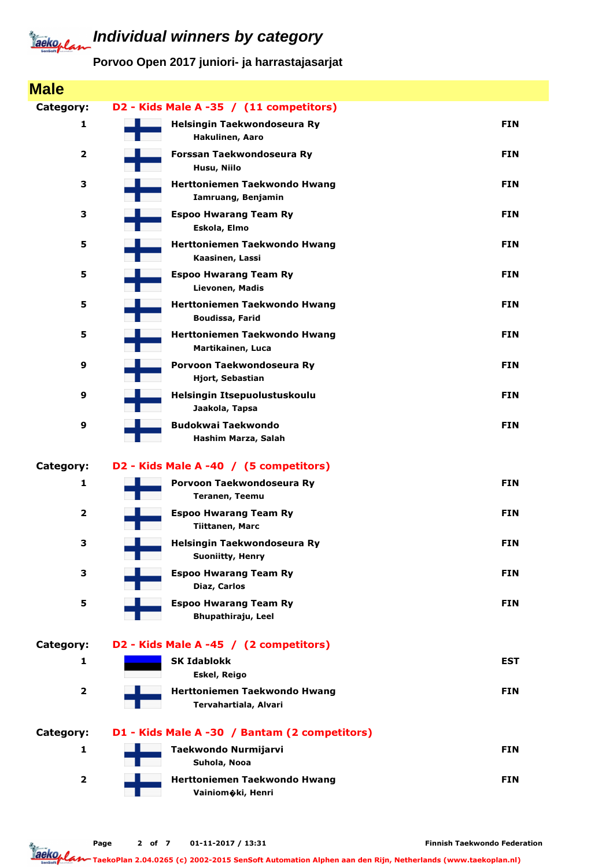## **Individual winners by category** Jackoplan

**Porvoo Open 2017 juniori- ja harrastajasarjat**

| <b>Male</b>             |                                                       |            |
|-------------------------|-------------------------------------------------------|------------|
| Category:               | D2 - Kids Male A -35 / (11 competitors)               |            |
| 1                       | Helsingin Taekwondoseura Ry<br>Hakulinen, Aaro        | <b>FIN</b> |
| $\overline{\mathbf{2}}$ | Forssan Taekwondoseura Ry<br>Husu, Niilo              | <b>FIN</b> |
| 3                       | Herttoniemen Taekwondo Hwang<br>Iamruang, Benjamin    | <b>FIN</b> |
| 3                       | <b>Espoo Hwarang Team Ry</b><br>Eskola, Elmo          | <b>FIN</b> |
| 5                       | Herttoniemen Taekwondo Hwang<br>Kaasinen, Lassi       | <b>FIN</b> |
| 5                       | <b>Espoo Hwarang Team Ry</b><br>Lievonen, Madis       | <b>FIN</b> |
| 5                       | Herttoniemen Taekwondo Hwang<br>Boudissa, Farid       | <b>FIN</b> |
| 5                       | Herttoniemen Taekwondo Hwang<br>Martikainen, Luca     | <b>FIN</b> |
| 9                       | Porvoon Taekwondoseura Ry<br>Hjort, Sebastian         | <b>FIN</b> |
| 9                       | Helsingin Itsepuolustuskoulu<br>Jaakola, Tapsa        | <b>FIN</b> |
| 9                       | <b>Budokwai Taekwondo</b><br>Hashim Marza, Salah      | <b>FIN</b> |
| Category:               | D2 - Kids Male A -40 / (5 competitors)                |            |
| 1                       | Porvoon Taekwondoseura Ry<br>Teranen, Teemu           | <b>FIN</b> |
| $\overline{\mathbf{2}}$ | <b>Espoo Hwarang Team Ry</b><br>Tiittanen, Marc       | <b>FIN</b> |
| 3                       | Helsingin Taekwondoseura Ry<br>Suoniitty, Henry       | <b>FIN</b> |
| З                       | <b>Espoo Hwarang Team Ry</b><br>Diaz, Carlos          | <b>FIN</b> |
| 5                       | <b>Espoo Hwarang Team Ry</b><br>Bhupathiraju, Leel    | <b>FIN</b> |
| Category:               | D2 - Kids Male A -45 / (2 competitors)                |            |
| 1                       | <b>SK Idablokk</b><br>Eskel, Reigo                    | <b>EST</b> |
| $\overline{\mathbf{2}}$ | Herttoniemen Taekwondo Hwang<br>Tervahartiala, Alvari | <b>FIN</b> |
| Category:               | D1 - Kids Male A -30 / Bantam (2 competitors)         |            |
| 1                       | Taekwondo Nurmijarvi<br>Suhola, Nooa                  | <b>FIN</b> |
| $\overline{\mathbf{2}}$ | Herttoniemen Taekwondo Hwang<br>Vainiomoki, Henri     | <b>FIN</b> |
|                         |                                                       |            |

TaekoPlan 2.04.0265 (c) 2002-2015 SenSoft Automation Alphen aan den Rijn, Netherlands (www.taekoplan.nl)

Jackoplan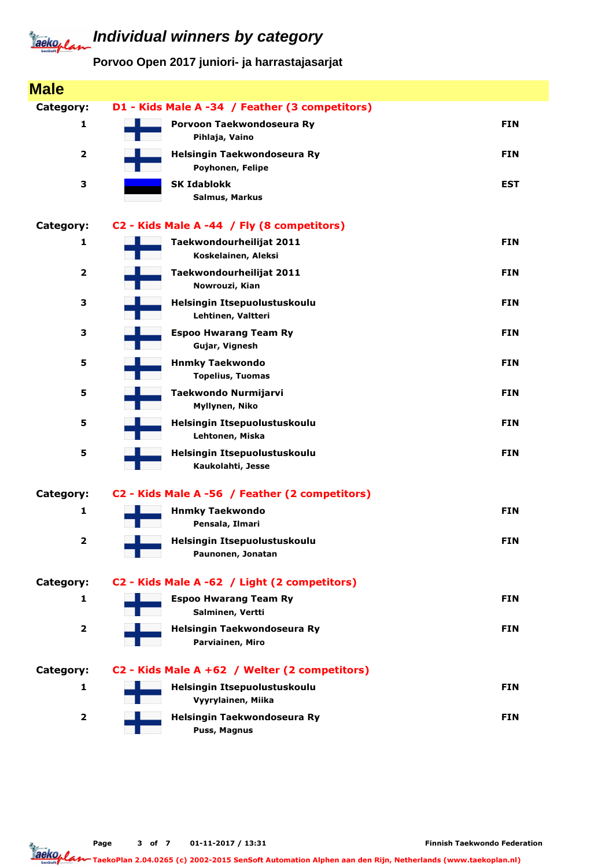## **Individual winners by category** Jackeplan

**Porvoo Open 2017 juniori- ja harrastajasarjat**

| <b>Male</b>             |                                                    |            |
|-------------------------|----------------------------------------------------|------------|
| Category:               | D1 - Kids Male A -34 / Feather (3 competitors)     |            |
| 1                       | Porvoon Taekwondoseura Ry<br>Pihlaja, Vaino        | <b>FIN</b> |
| $\overline{\mathbf{2}}$ | Helsingin Taekwondoseura Ry<br>Poyhonen, Felipe    | <b>FIN</b> |
| 3                       | <b>SK Idablokk</b><br>Salmus, Markus               | <b>EST</b> |
| Category:               | C2 - Kids Male A -44 / Fly (8 competitors)         |            |
| 1                       | Taekwondourheilijat 2011<br>Koskelainen, Aleksi    | <b>FIN</b> |
| $\overline{\mathbf{2}}$ | Taekwondourheilijat 2011<br>Nowrouzi, Kian         | <b>FIN</b> |
| 3                       | Helsingin Itsepuolustuskoulu<br>Lehtinen, Valtteri | <b>FIN</b> |
| 3                       | <b>Espoo Hwarang Team Ry</b><br>Gujar, Vignesh     | <b>FIN</b> |
| 5                       | <b>Hnmky Taekwondo</b><br><b>Topelius, Tuomas</b>  | <b>FIN</b> |
| 5                       | Taekwondo Nurmijarvi<br>Myllynen, Niko             | <b>FIN</b> |
| 5                       | Helsingin Itsepuolustuskoulu<br>Lehtonen, Miska    | <b>FIN</b> |
| 5                       | Helsingin Itsepuolustuskoulu<br>Kaukolahti, Jesse  | <b>FIN</b> |
| Category:               | C2 - Kids Male A -56 / Feather (2 competitors)     |            |
| 1                       | <b>Hnmky Taekwondo</b><br>Pensala, Ilmari          | <b>FIN</b> |
| 2                       | Helsingin Itsepuolustuskoulu<br>Paunonen, Jonatan  | <b>FIN</b> |
| Category:               | C2 - Kids Male A -62 / Light (2 competitors)       |            |
| 1                       | <b>Espoo Hwarang Team Ry</b><br>Salminen, Vertti   | <b>FIN</b> |
| $\overline{\mathbf{2}}$ | Helsingin Taekwondoseura Ry<br>Parviainen, Miro    | <b>FIN</b> |
| Category:               | C2 - Kids Male A +62 / Welter (2 competitors)      |            |
| 1                       | Helsingin Itsepuolustuskoulu<br>Vyyrylainen, Miika | <b>FIN</b> |
| $\overline{\mathbf{2}}$ | Helsingin Taekwondoseura Ry<br>Puss, Magnus        | <b>FIN</b> |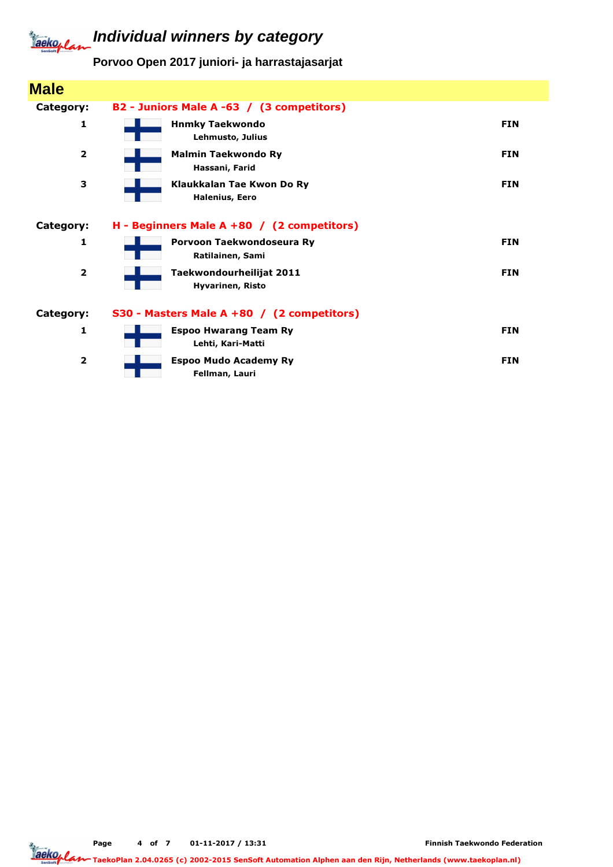## **Individual winners by category** Tackoplan

**Porvoo Open 2017 juniori- ja harrastajasarjat**

| <b>Male</b>             |                                                     |            |
|-------------------------|-----------------------------------------------------|------------|
| Category:               | B2 - Juniors Male A -63 / (3 competitors)           |            |
| 1                       | <b>Hnmky Taekwondo</b><br>Lehmusto, Julius          | <b>FIN</b> |
| $\overline{\mathbf{2}}$ | <b>Malmin Taekwondo Ry</b><br>Hassani, Farid        | <b>FIN</b> |
| 3                       | Klaukkalan Tae Kwon Do Ry<br><b>Halenius, Eero</b>  | <b>FIN</b> |
| Category:               | H - Beginners Male A +80 / (2 competitors)          |            |
| 1                       | Porvoon Taekwondoseura Ry<br>Ratilainen, Sami       | <b>FIN</b> |
| $\overline{\mathbf{2}}$ | Taekwondourheilijat 2011<br><b>Hyvarinen, Risto</b> | <b>FIN</b> |
| Category:               | S30 - Masters Male A +80 / (2 competitors)          |            |
| 1                       | <b>Espoo Hwarang Team Ry</b><br>Lehti, Kari-Matti   | <b>FIN</b> |
| $\overline{\mathbf{2}}$ | <b>Espoo Mudo Academy Ry</b><br>Fellman, Lauri      | <b>FIN</b> |

Page 4 of 7 01-11-2017 / 13:31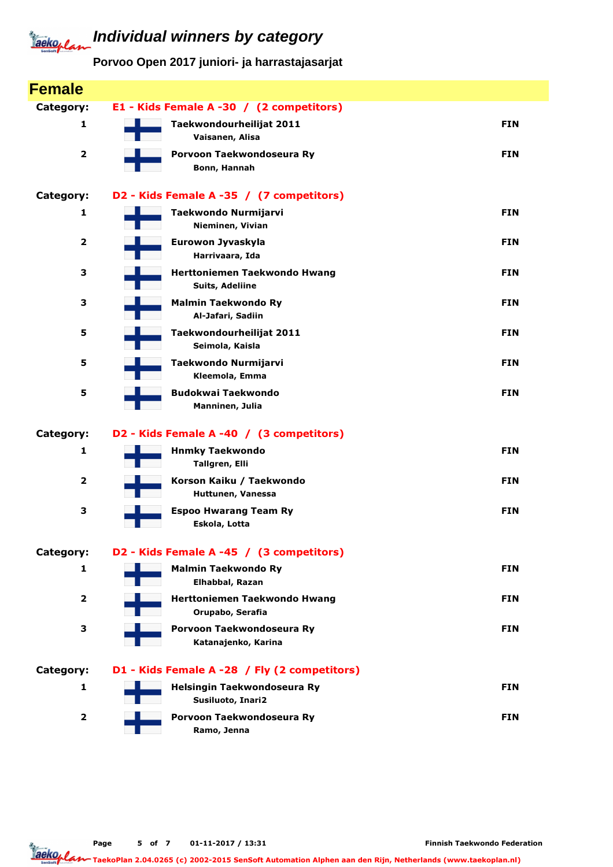## **Individual winners by category** Tackoplan

**Porvoo Open 2017 juniori- ja harrastajasarjat**

| <b>Female</b>           |                                                  |            |
|-------------------------|--------------------------------------------------|------------|
| Category:               | E1 - Kids Female A -30 / (2 competitors)         |            |
| 1                       | Taekwondourheilijat 2011<br>Vaisanen, Alisa      | <b>FIN</b> |
| $\overline{\mathbf{2}}$ | Porvoon Taekwondoseura Ry<br>Bonn, Hannah        | <b>FIN</b> |
| Category:               | D2 - Kids Female A -35 / (7 competitors)         |            |
| 1                       | Taekwondo Nurmijarvi<br>Nieminen, Vivian         | <b>FIN</b> |
| $\overline{\mathbf{2}}$ | Eurowon Jyvaskyla<br>Harrivaara, Ida             | <b>FIN</b> |
| 3                       | Herttoniemen Taekwondo Hwang<br>Suits, Adeliine  | <b>FIN</b> |
| 3                       | <b>Malmin Taekwondo Ry</b><br>Al-Jafari, Sadiin  | <b>FIN</b> |
| 5                       | Taekwondourheilijat 2011<br>Seimola, Kaisla      | <b>FIN</b> |
| 5                       | Taekwondo Nurmijarvi<br>Kleemola, Emma           | <b>FIN</b> |
| 5                       | <b>Budokwai Taekwondo</b><br>Manninen, Julia     | <b>FIN</b> |
| Category:               | D2 - Kids Female A -40 / (3 competitors)         |            |
| 1                       | <b>Hnmky Taekwondo</b><br>Tallgren, Elli         | <b>FIN</b> |
| $\mathbf{2}$            | Korson Kaiku / Taekwondo<br>Huttunen, Vanessa    | <b>FIN</b> |
| З                       | <b>Espoo Hwarang Team Ry</b><br>Eskola, Lotta    | <b>FIN</b> |
| Category:               | D2 - Kids Female A -45 / (3 competitors)         |            |
| 1                       | <b>Malmin Taekwondo Ry</b><br>Elhabbal, Razan    | <b>FIN</b> |
| $\overline{\mathbf{2}}$ | Herttoniemen Taekwondo Hwang<br>Orupabo, Serafia | <b>FIN</b> |
| З                       | Porvoon Taekwondoseura Ry<br>Katanajenko, Karina | <b>FIN</b> |
| Category:               | D1 - Kids Female A -28 / Fly (2 competitors)     |            |
| 1                       | Helsingin Taekwondoseura Ry<br>Susiluoto, Inari2 | <b>FIN</b> |
| 2                       | Porvoon Taekwondoseura Ry<br>Ramo, Jenna         | <b>FIN</b> |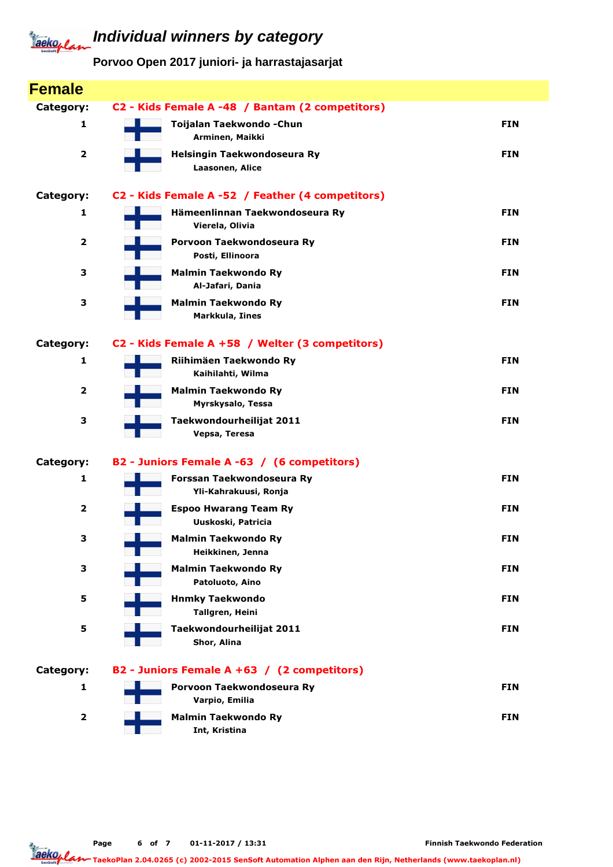## **Individual winners by category** Jackeplan

**Porvoo Open 2017 juniori- ja harrastajasarjat**

| <b>Female</b>           |                                                    |            |
|-------------------------|----------------------------------------------------|------------|
| Category:               | C2 - Kids Female A -48 / Bantam (2 competitors)    |            |
| 1                       | Toijalan Taekwondo - Chun<br>Arminen, Maikki       | <b>FIN</b> |
| $\overline{\mathbf{2}}$ | Helsingin Taekwondoseura Ry<br>Laasonen, Alice     | <b>FIN</b> |
| Category:               | C2 - Kids Female A -52 / Feather (4 competitors)   |            |
| 1                       | Hämeenlinnan Taekwondoseura Ry<br>Vierela, Olivia  | <b>FIN</b> |
| $\overline{2}$          | Porvoon Taekwondoseura Ry<br>Posti, Ellinoora      | <b>FIN</b> |
| З                       | <b>Malmin Taekwondo Ry</b><br>Al-Jafari, Dania     | <b>FIN</b> |
| З                       | <b>Malmin Taekwondo Ry</b><br>Markkula, Iines      | <b>FIN</b> |
| Category:               | C2 - Kids Female A +58 / Welter (3 competitors)    |            |
| 1                       | Riihimäen Taekwondo Ry<br>Kaihilahti, Wilma        | <b>FIN</b> |
| $\overline{\mathbf{2}}$ | <b>Malmin Taekwondo Ry</b><br>Myrskysalo, Tessa    | <b>FIN</b> |
| З                       | Taekwondourheilijat 2011<br>Vepsa, Teresa          | <b>FIN</b> |
| Category:               | B2 - Juniors Female A -63 / (6 competitors)        |            |
| 1                       | Forssan Taekwondoseura Ry<br>Yli-Kahrakuusi, Ronja | <b>FIN</b> |
| $\overline{2}$          | <b>Espoo Hwarang Team Ry</b><br>Uuskoski, Patricia | <b>FIN</b> |
| 3                       | <b>Malmin Taekwondo Ry</b><br>Heikkinen, Jenna     | <b>FIN</b> |
| З                       | <b>Malmin Taekwondo Ry</b><br>Patoluoto, Aino      | <b>FIN</b> |
| 5                       | <b>Hnmky Taekwondo</b><br>Tallgren, Heini          | <b>FIN</b> |
| 5                       | Taekwondourheilijat 2011<br>Shor, Alina            | <b>FIN</b> |
| Category:               | B2 - Juniors Female A +63 / (2 competitors)        |            |
| 1                       | Porvoon Taekwondoseura Ry<br>Varpio, Emilia        | <b>FIN</b> |
| 2                       | <b>Malmin Taekwondo Ry</b><br>Int, Kristina        | <b>FIN</b> |